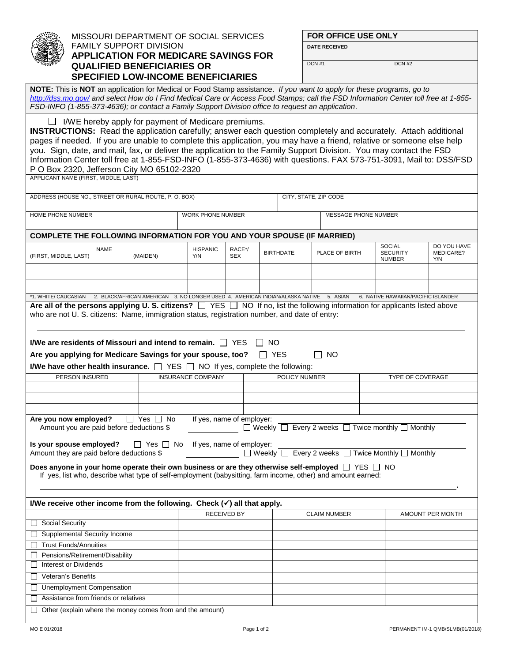|                                        |                                                                                                                                                                                                                                                                                                                                                                   | MISSOURI DEPARTMENT OF SOCIAL SERVICES                                                |                           |                                                                                               |              |                  |                                                                        | <b>FOR OFFICE USE ONLY</b> |                                                   |                                     |  |  |  |  |
|----------------------------------------|-------------------------------------------------------------------------------------------------------------------------------------------------------------------------------------------------------------------------------------------------------------------------------------------------------------------------------------------------------------------|---------------------------------------------------------------------------------------|---------------------------|-----------------------------------------------------------------------------------------------|--------------|------------------|------------------------------------------------------------------------|----------------------------|---------------------------------------------------|-------------------------------------|--|--|--|--|
|                                        | <b>FAMILY SUPPORT DIVISION</b><br><b>APPLICATION FOR MEDICARE SAVINGS FOR</b>                                                                                                                                                                                                                                                                                     |                                                                                       |                           |                                                                                               |              |                  | <b>DATE RECEIVED</b>                                                   |                            |                                                   |                                     |  |  |  |  |
|                                        |                                                                                                                                                                                                                                                                                                                                                                   |                                                                                       |                           |                                                                                               |              |                  |                                                                        |                            |                                                   |                                     |  |  |  |  |
| <b>QUALIFIED BENEFICIARIES OR</b>      |                                                                                                                                                                                                                                                                                                                                                                   |                                                                                       |                           |                                                                                               |              |                  | DCN#1                                                                  |                            | DCN#2                                             |                                     |  |  |  |  |
|                                        | <b>SPECIFIED LOW-INCOME BENEFICIARIES</b>                                                                                                                                                                                                                                                                                                                         |                                                                                       |                           |                                                                                               |              |                  |                                                                        |                            |                                                   |                                     |  |  |  |  |
|                                        | NOTE: This is NOT an application for Medical or Food Stamp assistance. If you want to apply for these programs, go to<br>http://dss.mo.gov/ and select How do I Find Medical Care or Access Food Stamps; call the FSD Information Center toll free at 1-855-<br>FSD-INFO (1-855-373-4636); or contact a Family Support Division office to request an application. |                                                                                       |                           |                                                                                               |              |                  |                                                                        |                            |                                                   |                                     |  |  |  |  |
|                                        |                                                                                                                                                                                                                                                                                                                                                                   |                                                                                       |                           |                                                                                               |              |                  |                                                                        |                            |                                                   |                                     |  |  |  |  |
|                                        | I/WE hereby apply for payment of Medicare premiums.<br><b>INSTRUCTIONS:</b> Read the application carefully; answer each question completely and accurately. Attach additional                                                                                                                                                                                     |                                                                                       |                           |                                                                                               |              |                  |                                                                        |                            |                                                   |                                     |  |  |  |  |
|                                        | pages if needed. If you are unable to complete this application, you may have a friend, relative or someone else help                                                                                                                                                                                                                                             |                                                                                       |                           |                                                                                               |              |                  |                                                                        |                            |                                                   |                                     |  |  |  |  |
|                                        | you. Sign, date, and mail, fax, or deliver the application to the Family Support Division. You may contact the FSD                                                                                                                                                                                                                                                |                                                                                       |                           |                                                                                               |              |                  |                                                                        |                            |                                                   |                                     |  |  |  |  |
|                                        | Information Center toll free at 1-855-FSD-INFO (1-855-373-4636) with questions. FAX 573-751-3091, Mail to: DSS/FSD                                                                                                                                                                                                                                                |                                                                                       |                           |                                                                                               |              |                  |                                                                        |                            |                                                   |                                     |  |  |  |  |
|                                        | P O Box 2320, Jefferson City MO 65102-2320                                                                                                                                                                                                                                                                                                                        |                                                                                       |                           |                                                                                               |              |                  |                                                                        |                            |                                                   |                                     |  |  |  |  |
|                                        | APPLICANT NAME (FIRST, MIDDLE, LAST)                                                                                                                                                                                                                                                                                                                              |                                                                                       |                           |                                                                                               |              |                  |                                                                        |                            |                                                   |                                     |  |  |  |  |
|                                        | ADDRESS (HOUSE NO., STREET OR RURAL ROUTE, P. O. BOX)                                                                                                                                                                                                                                                                                                             |                                                                                       |                           |                                                                                               |              |                  | CITY, STATE, ZIP CODE                                                  |                            |                                                   |                                     |  |  |  |  |
| HOME PHONE NUMBER                      |                                                                                                                                                                                                                                                                                                                                                                   |                                                                                       | WORK PHONE NUMBER         |                                                                                               |              |                  | MESSAGE PHONE NUMBER                                                   |                            |                                                   |                                     |  |  |  |  |
|                                        |                                                                                                                                                                                                                                                                                                                                                                   |                                                                                       |                           |                                                                                               |              |                  |                                                                        |                            |                                                   |                                     |  |  |  |  |
|                                        | COMPLETE THE FOLLOWING INFORMATION FOR YOU AND YOUR SPOUSE (IF MARRIED)                                                                                                                                                                                                                                                                                           |                                                                                       |                           |                                                                                               |              |                  |                                                                        |                            |                                                   |                                     |  |  |  |  |
| (FIRST, MIDDLE, LAST)                  | <b>NAME</b>                                                                                                                                                                                                                                                                                                                                                       | (MAIDEN)                                                                              | <b>HISPANIC</b><br>Y/N    | RACE*/<br><b>SEX</b>                                                                          |              | <b>BIRTHDATE</b> | PLACE OF BIRTH                                                         |                            | <b>SOCIAL</b><br><b>SECURITY</b><br><b>NUMBER</b> | DO YOU HAVE<br>MEDICARE?<br>Y/N     |  |  |  |  |
|                                        |                                                                                                                                                                                                                                                                                                                                                                   |                                                                                       |                           |                                                                                               |              |                  |                                                                        |                            |                                                   |                                     |  |  |  |  |
|                                        |                                                                                                                                                                                                                                                                                                                                                                   |                                                                                       |                           |                                                                                               |              |                  |                                                                        |                            |                                                   |                                     |  |  |  |  |
|                                        |                                                                                                                                                                                                                                                                                                                                                                   |                                                                                       |                           |                                                                                               |              |                  |                                                                        |                            |                                                   |                                     |  |  |  |  |
| *1. WHITE/ CAUCASIAN                   | Are all of the persons applying U.S. citizens? $\Box$ YES $\Box$ NO If no, list the following information for applicants listed above                                                                                                                                                                                                                             | 2. BLACK/AFRICAN AMERICAN 3. NO LONGER USED 4. AMERICAN INDIAN/ALASKA NATIVE 5. ASIAN |                           |                                                                                               |              |                  |                                                                        |                            |                                                   | 6. NATIVE HAWAIIAN/PACIFIC ISLANDER |  |  |  |  |
|                                        | who are not U. S. citizens: Name, immigration status, registration number, and date of entry:                                                                                                                                                                                                                                                                     |                                                                                       |                           |                                                                                               |              |                  |                                                                        |                            |                                                   |                                     |  |  |  |  |
|                                        | I/We are residents of Missouri and intend to remain. $\Box$ YES                                                                                                                                                                                                                                                                                                   |                                                                                       |                           |                                                                                               | NO.          |                  |                                                                        |                            |                                                   |                                     |  |  |  |  |
|                                        | Are you applying for Medicare Savings for your spouse, too?                                                                                                                                                                                                                                                                                                       |                                                                                       |                           |                                                                                               | $\mathbf{I}$ | <b>YES</b>       | NO.<br>II.                                                             |                            |                                                   |                                     |  |  |  |  |
|                                        |                                                                                                                                                                                                                                                                                                                                                                   |                                                                                       |                           |                                                                                               |              |                  |                                                                        |                            |                                                   |                                     |  |  |  |  |
|                                        | PERSON INSURED                                                                                                                                                                                                                                                                                                                                                    |                                                                                       |                           | <b>I/We have other health insurance.</b> $\Box$ YES $\Box$ NO If yes, complete the following: |              |                  | POLICY NUMBER                                                          | TYPE OF COVERAGE           |                                                   |                                     |  |  |  |  |
|                                        |                                                                                                                                                                                                                                                                                                                                                                   |                                                                                       |                           | <b>INSURANCE COMPANY</b>                                                                      |              |                  |                                                                        |                            |                                                   |                                     |  |  |  |  |
|                                        |                                                                                                                                                                                                                                                                                                                                                                   |                                                                                       |                           |                                                                                               |              |                  |                                                                        |                            |                                                   |                                     |  |  |  |  |
|                                        |                                                                                                                                                                                                                                                                                                                                                                   |                                                                                       |                           |                                                                                               |              |                  |                                                                        |                            |                                                   |                                     |  |  |  |  |
|                                        | Are you now employed?                                                                                                                                                                                                                                                                                                                                             | $\Box$ Yes $\Box$<br>No                                                               | If yes, name of employer: |                                                                                               |              |                  |                                                                        |                            |                                                   |                                     |  |  |  |  |
|                                        | Amount you are paid before deductions \$                                                                                                                                                                                                                                                                                                                          |                                                                                       |                           |                                                                                               |              |                  | $\Box$ Weekly $\Box$ Every 2 weeks $\Box$ Twice monthly $\Box$ Monthly |                            |                                                   |                                     |  |  |  |  |
|                                        |                                                                                                                                                                                                                                                                                                                                                                   |                                                                                       | If yes, name of employer: |                                                                                               |              |                  |                                                                        |                            |                                                   |                                     |  |  |  |  |
|                                        | Is your spouse employed?<br>Amount they are paid before deductions \$                                                                                                                                                                                                                                                                                             | $\Box$ Yes $\Box$ No                                                                  |                           |                                                                                               |              |                  | $\Box$ Weekly $\Box$ Every 2 weeks $\Box$ Twice Monthly $\Box$ Monthly |                            |                                                   |                                     |  |  |  |  |
|                                        |                                                                                                                                                                                                                                                                                                                                                                   |                                                                                       |                           |                                                                                               |              |                  |                                                                        |                            |                                                   |                                     |  |  |  |  |
|                                        | Does anyone in your home operate their own business or are they otherwise self-employed $\Box$ YES $\Box$ NO<br>If yes, list who, describe what type of self-employment (babysitting, farm income, other) and amount earned:                                                                                                                                      |                                                                                       |                           |                                                                                               |              |                  |                                                                        |                            |                                                   |                                     |  |  |  |  |
|                                        |                                                                                                                                                                                                                                                                                                                                                                   |                                                                                       |                           |                                                                                               |              |                  |                                                                        |                            |                                                   |                                     |  |  |  |  |
|                                        |                                                                                                                                                                                                                                                                                                                                                                   |                                                                                       |                           |                                                                                               |              |                  |                                                                        |                            |                                                   |                                     |  |  |  |  |
|                                        | I/We receive other income from the following. Check $(\checkmark)$ all that apply.                                                                                                                                                                                                                                                                                |                                                                                       |                           |                                                                                               |              |                  |                                                                        |                            |                                                   |                                     |  |  |  |  |
|                                        |                                                                                                                                                                                                                                                                                                                                                                   |                                                                                       |                           | <b>RECEIVED BY</b>                                                                            |              |                  | <b>CLAIM NUMBER</b>                                                    |                            |                                                   | AMOUNT PER MONTH                    |  |  |  |  |
| <b>Social Security</b><br>$\mathsf{L}$ |                                                                                                                                                                                                                                                                                                                                                                   |                                                                                       |                           |                                                                                               |              |                  |                                                                        |                            |                                                   |                                     |  |  |  |  |
|                                        | Supplemental Security Income                                                                                                                                                                                                                                                                                                                                      |                                                                                       |                           |                                                                                               |              |                  |                                                                        |                            |                                                   |                                     |  |  |  |  |
|                                        | <b>Trust Funds/Annuities</b>                                                                                                                                                                                                                                                                                                                                      |                                                                                       |                           |                                                                                               |              |                  |                                                                        |                            |                                                   |                                     |  |  |  |  |
|                                        | Pensions/Retirement/Disability<br>Interest or Dividends                                                                                                                                                                                                                                                                                                           |                                                                                       |                           |                                                                                               |              |                  |                                                                        |                            |                                                   |                                     |  |  |  |  |
|                                        |                                                                                                                                                                                                                                                                                                                                                                   |                                                                                       |                           |                                                                                               |              |                  |                                                                        |                            |                                                   |                                     |  |  |  |  |
|                                        | <b>Veteran's Benefits</b>                                                                                                                                                                                                                                                                                                                                         |                                                                                       |                           |                                                                                               |              |                  |                                                                        |                            |                                                   |                                     |  |  |  |  |
|                                        | Unemployment Compensation                                                                                                                                                                                                                                                                                                                                         |                                                                                       |                           |                                                                                               |              |                  |                                                                        |                            |                                                   |                                     |  |  |  |  |
|                                        |                                                                                                                                                                                                                                                                                                                                                                   |                                                                                       |                           |                                                                                               |              |                  |                                                                        |                            |                                                   |                                     |  |  |  |  |
|                                        | Assistance from friends or relatives<br>Other (explain where the money comes from and the amount)                                                                                                                                                                                                                                                                 |                                                                                       |                           |                                                                                               |              |                  |                                                                        |                            |                                                   |                                     |  |  |  |  |